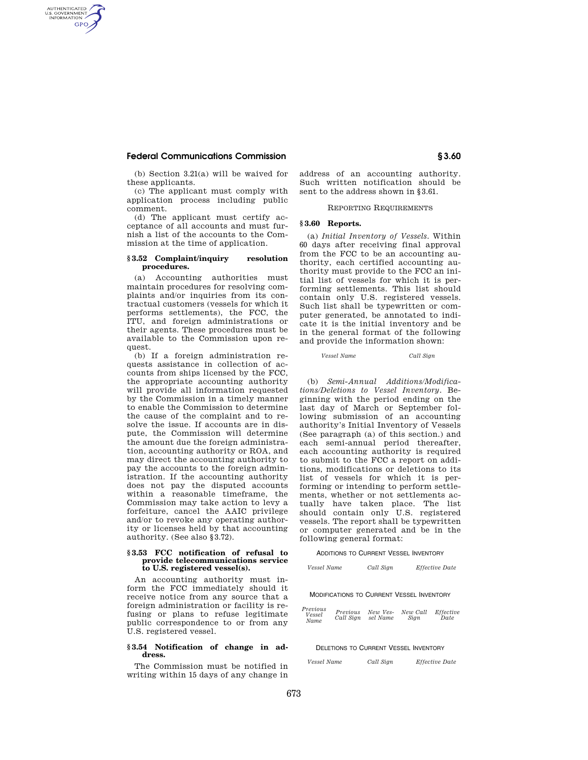# **Federal Communications Commission § 3.60**

AUTHENTICATED<br>U.S. GOVERNMENT<br>INFORMATION **GPO** 

> (b) Section 3.21(a) will be waived for these applicants.

> (c) The applicant must comply with application process including public comment.

> (d) The applicant must certify acceptance of all accounts and must furnish a list of the accounts to the Commission at the time of application.

## **§ 3.52 Complaint/inquiry resolution procedures.**

(a) Accounting authorities must maintain procedures for resolving complaints and/or inquiries from its contractual customers (vessels for which it performs settlements), the FCC, the ITU, and foreign administrations or their agents. These procedures must be available to the Commission upon request.

(b) If a foreign administration requests assistance in collection of accounts from ships licensed by the FCC, the appropriate accounting authority will provide all information requested by the Commission in a timely manner to enable the Commission to determine the cause of the complaint and to resolve the issue. If accounts are in dispute, the Commission will determine the amount due the foreign administration, accounting authority or ROA, and may direct the accounting authority to pay the accounts to the foreign administration. If the accounting authority does not pay the disputed accounts within a reasonable timeframe, the Commission may take action to levy a forfeiture, cancel the AAIC privilege and/or to revoke any operating authority or licenses held by that accounting authority. (See also §3.72).

#### **§ 3.53 FCC notification of refusal to provide telecommunications service to U.S. registered vessel(s).**

An accounting authority must inform the FCC immediately should it receive notice from any source that a foreign administration or facility is refusing or plans to refuse legitimate public correspondence to or from any U.S. registered vessel.

# **§ 3.54 Notification of change in address.**

The Commission must be notified in writing within 15 days of any change in address of an accounting authority. Such written notification should be sent to the address shown in §3.61.

# REPORTING REQUIREMENTS

#### **§ 3.60 Reports.**

(a) *Initial Inventory of Vessels.* Within 60 days after receiving final approval from the FCC to be an accounting authority, each certified accounting authority must provide to the FCC an initial list of vessels for which it is performing settlements. This list should contain only U.S. registered vessels. Such list shall be typewritten or computer generated, be annotated to indicate it is the initial inventory and be in the general format of the following and provide the information shown:

*Vessel Name Call Sign* 

(b) *Semi-Annual Additions/Modifications/Deletions to Vessel Inventory.* Beginning with the period ending on the last day of March or September following submission of an accounting authority's Initial Inventory of Vessels (See paragraph (a) of this section.) and each semi-annual period thereafter, each accounting authority is required to submit to the FCC a report on additions, modifications or deletions to its list of vessels for which it is performing or intending to perform settlements, whether or not settlements actually have taken place. The list should contain only U.S. registered vessels. The report shall be typewritten or computer generated and be in the following general format:

#### ADDITIONS TO CURRENT VESSEL INVENTORY

*Vessel Name Call Sign Effective Date* 

#### MODIFICATIONS TO CURRENT VESSEL INVENTORY

*Previous Vessel Name Previous Call Sign New Ves-New Call Effective sel Name Sign Date* 

#### DELETIONS TO CURRENT VESSEL INVENTORY

*Vessel Name Call Sign Effective Date*